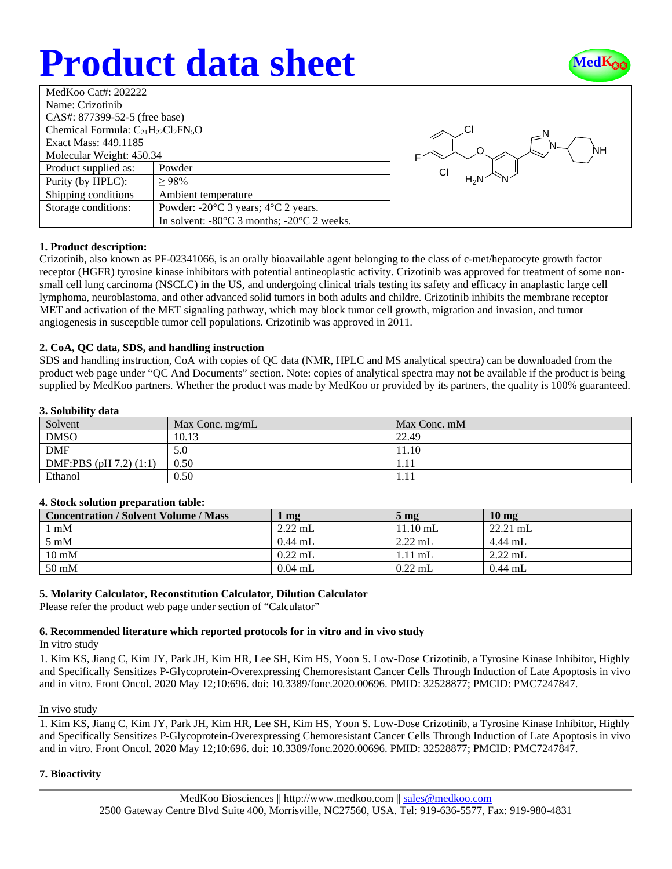# **Product data sheet**



| MedKoo Cat#: 202222                       |                                                                |  |
|-------------------------------------------|----------------------------------------------------------------|--|
| Name: Crizotinib                          |                                                                |  |
| CAS#: 877399-52-5 (free base)             |                                                                |  |
| Chemical Formula: $C_{21}H_{22}Cl_2FN_5O$ |                                                                |  |
| Exact Mass: 449.1185                      |                                                                |  |
| Molecular Weight: 450.34                  |                                                                |  |
| Product supplied as:                      | Powder                                                         |  |
| Purity (by HPLC):                         | >98%                                                           |  |
| Shipping conditions                       | Ambient temperature                                            |  |
| Storage conditions:                       | Powder: $-20^{\circ}$ C 3 years; $4^{\circ}$ C 2 years.        |  |
|                                           | In solvent: $-80^{\circ}$ C 3 months; $-20^{\circ}$ C 2 weeks. |  |



## **1. Product description:**

Crizotinib, also known as PF-02341066, is an orally bioavailable agent belonging to the class of c-met/hepatocyte growth factor receptor (HGFR) tyrosine kinase inhibitors with potential antineoplastic activity. Crizotinib was approved for treatment of some nonsmall cell lung carcinoma (NSCLC) in the US, and undergoing clinical trials testing its safety and efficacy in anaplastic large cell lymphoma, neuroblastoma, and other advanced solid tumors in both adults and childre. Crizotinib inhibits the membrane receptor MET and activation of the MET signaling pathway, which may block tumor cell growth, migration and invasion, and tumor angiogenesis in susceptible tumor cell populations. Crizotinib was approved in 2011.

### **2. CoA, QC data, SDS, and handling instruction**

SDS and handling instruction, CoA with copies of QC data (NMR, HPLC and MS analytical spectra) can be downloaded from the product web page under "QC And Documents" section. Note: copies of analytical spectra may not be available if the product is being supplied by MedKoo partners. Whether the product was made by MedKoo or provided by its partners, the quality is 100% guaranteed.

### **3. Solubility data**

| Solvent                    | Max Conc. mg/mL | Max Conc. mM |
|----------------------------|-----------------|--------------|
| <b>DMSO</b>                | 10.13           | 22.49        |
| <b>DMF</b>                 | 5.0             | 11.10        |
| DMF:PBS $(pH 7.2)$ $(1:1)$ | 0.50            | 1.11         |
| Ethanol                    | 0.50            | 1.11         |

## **4. Stock solution preparation table:**

| <b>Concentration / Solvent Volume / Mass</b> | $\mathbf{mg}$ | $5 \,\mathrm{mg}$ | 10 <sub>mg</sub> |
|----------------------------------------------|---------------|-------------------|------------------|
| $1 \text{ mM}$                               | $2.22$ mL     | $11.10$ mL        | $22.21$ mL       |
| $5 \text{ mM}$                               | $0.44$ mL     | $2.22$ mL         | 4.44 mL          |
| $10 \text{ mM}$                              | $0.22$ mL     | $1.11$ mL         | $2.22$ mL        |
| $50 \text{ mM}$                              | $0.04$ mL     | $0.22$ mL         | $0.44$ mL        |

## **5. Molarity Calculator, Reconstitution Calculator, Dilution Calculator**

Please refer the product web page under section of "Calculator"

## **6. Recommended literature which reported protocols for in vitro and in vivo study**

In vitro study

1. Kim KS, Jiang C, Kim JY, Park JH, Kim HR, Lee SH, Kim HS, Yoon S. Low-Dose Crizotinib, a Tyrosine Kinase Inhibitor, Highly and Specifically Sensitizes P-Glycoprotein-Overexpressing Chemoresistant Cancer Cells Through Induction of Late Apoptosis in vivo and in vitro. Front Oncol. 2020 May 12;10:696. doi: 10.3389/fonc.2020.00696. PMID: 32528877; PMCID: PMC7247847.

### In vivo study

1. Kim KS, Jiang C, Kim JY, Park JH, Kim HR, Lee SH, Kim HS, Yoon S. Low-Dose Crizotinib, a Tyrosine Kinase Inhibitor, Highly and Specifically Sensitizes P-Glycoprotein-Overexpressing Chemoresistant Cancer Cells Through Induction of Late Apoptosis in vivo and in vitro. Front Oncol. 2020 May 12;10:696. doi: 10.3389/fonc.2020.00696. PMID: 32528877; PMCID: PMC7247847.

## **7. Bioactivity**